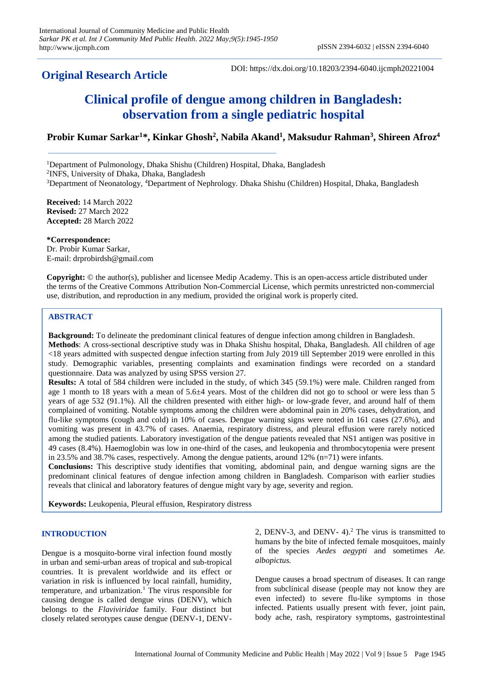# **Original Research Article**

DOI: https://dx.doi.org/10.18203/2394-6040.ijcmph20221004

# **Clinical profile of dengue among children in Bangladesh: observation from a single pediatric hospital**

# **Probir Kumar Sarkar<sup>1</sup>\*, Kinkar Ghosh<sup>2</sup> , Nabila Akand<sup>1</sup> , Maksudur Rahman<sup>3</sup> , Shireen Afroz<sup>4</sup>**

<sup>1</sup>Department of Pulmonology, Dhaka Shishu (Children) Hospital, Dhaka, Bangladesh 2 INFS, University of Dhaka, Dhaka, Bangladesh <sup>3</sup>Department of Neonatology, <sup>4</sup>Department of Nephrology. Dhaka Shishu (Children) Hospital, Dhaka, Bangladesh

**Received:** 14 March 2022 **Revised:** 27 March 2022 **Accepted:** 28 March 2022

**\*Correspondence:** Dr. Probir Kumar Sarkar, E-mail: drprobirdsh@gmail.com

**Copyright:** © the author(s), publisher and licensee Medip Academy. This is an open-access article distributed under the terms of the Creative Commons Attribution Non-Commercial License, which permits unrestricted non-commercial use, distribution, and reproduction in any medium, provided the original work is properly cited.

# **ABSTRACT**

**Background:** To delineate the predominant clinical features of dengue infection among children in Bangladesh. **Methods**: A cross-sectional descriptive study was in Dhaka Shishu hospital, Dhaka, Bangladesh. All children of age <18 years admitted with suspected dengue infection starting from July 2019 till September 2019 were enrolled in this study. Demographic variables, presenting complaints and examination findings were recorded on a standard questionnaire. Data was analyzed by using SPSS version 27.

**Results:** A total of 584 children were included in the study, of which 345 (59.1%) were male. Children ranged from age 1 month to 18 years with a mean of  $5.6\pm4$  years. Most of the children did not go to school or were less than 5 years of age 532 (91.1%). All the children presented with either high- or low-grade fever, and around half of them complained of vomiting. Notable symptoms among the children were abdominal pain in 20% cases, dehydration, and flu-like symptoms (cough and cold) in 10% of cases. Dengue warning signs were noted in 161 cases (27.6%), and vomiting was present in 43.7% of cases. Anaemia, respiratory distress, and pleural effusion were rarely noticed among the studied patients. Laboratory investigation of the dengue patients revealed that NS1 antigen was positive in 49 cases (8.4%). Haemoglobin was low in one-third of the cases, and leukopenia and thrombocytopenia were present in 23.5% and 38.7% cases, respectively. Among the dengue patients, around 12% (n=71) were infants.

**Conclusions:** This descriptive study identifies that vomiting, abdominal pain, and dengue warning signs are the predominant clinical features of dengue infection among children in Bangladesh. Comparison with earlier studies reveals that clinical and laboratory features of dengue might vary by age, severity and region.

**Keywords:** Leukopenia, Pleural effusion, Respiratory distress

## **INTRODUCTION**

Dengue is a mosquito-borne viral infection found mostly in urban and semi-urban areas of tropical and sub-tropical countries. It is prevalent worldwide and its effect or variation in risk is influenced by local rainfall, humidity, temperature, and urbanization.<sup>1</sup> The virus responsible for causing dengue is called dengue virus (DENV), which belongs to the *Flaviviridae* family. Four distinct but closely related serotypes cause dengue (DENV-1, DENV- 2, DENV-3, and DENV- 4).<sup>2</sup> The virus is transmitted to humans by the bite of infected female mosquitoes, mainly of the species *Aedes aegypti* and sometimes *Ae. albopictus.*

Dengue causes a broad spectrum of diseases. It can range from subclinical disease (people may not know they are even infected) to severe flu-like symptoms in those infected. Patients usually present with fever, joint pain, body ache, rash, respiratory symptoms, gastrointestinal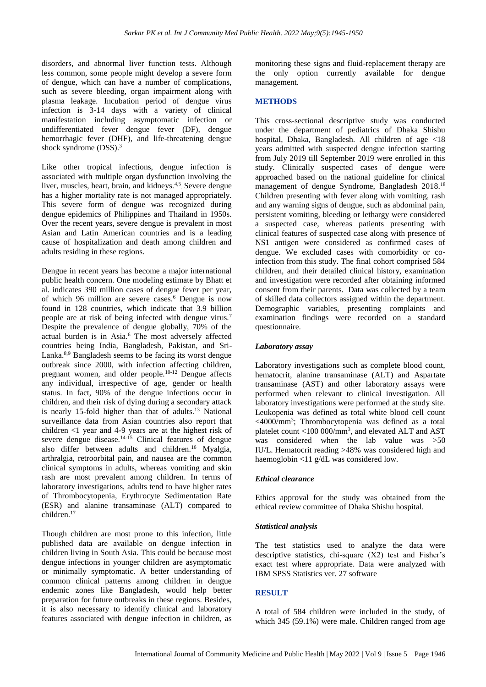disorders, and abnormal liver function tests. Although less common, some people might develop a severe form of dengue, which can have a number of complications, such as severe bleeding, organ impairment along with plasma leakage. Incubation period of dengue virus infection is 3-14 days with a variety of clinical manifestation including asymptomatic infection or undifferentiated fever dengue fever (DF), dengue hemorrhagic fever (DHF), and life-threatening dengue shock syndrome (DSS).<sup>3</sup>

Like other tropical infections, dengue infection is associated with multiple organ dysfunction involving the liver, muscles, heart, brain, and kidneys.<sup>4,5</sup> Severe dengue has a higher mortality rate is not managed appropriately. This severe form of dengue was recognized during dengue epidemics of Philippines and Thailand in 1950s. Over the recent years, severe dengue is prevalent in most Asian and Latin American countries and is a leading cause of hospitalization and death among children and adults residing in these regions.

Dengue in recent years has become a major international public health concern. One modeling estimate by Bhatt et al. indicates 390 million cases of dengue fever per year, of which 96 million are severe cases.<sup>6</sup> Dengue is now found in 128 countries, which indicate that 3.9 billion people are at risk of being infected with dengue virus.<sup>7</sup> Despite the prevalence of dengue globally, 70% of the actual burden is in Asia.<sup>6</sup> The most adversely affected countries being India, Bangladesh, Pakistan, and Sri-Lanka.8,9 Bangladesh seems to be facing its worst dengue outbreak since 2000, with infection affecting children, pregnant women, and older people.10-12 Dengue affects any individual, irrespective of age, gender or health status. In fact, 90% of the dengue infections occur in children, and their risk of dying during a secondary attack is nearly 15-fold higher than that of adults. $13$  National surveillance data from Asian countries also report that children <1 year and 4-9 years are at the highest risk of severe dengue disease. $14-15$  Clinical features of dengue also differ between adults and children.<sup>16</sup> Myalgia, arthralgia, retroorbital pain, and nausea are the common clinical symptoms in adults, whereas vomiting and skin rash are most prevalent among children. In terms of laboratory investigations, adults tend to have higher rates of Thrombocytopenia, Erythrocyte Sedimentation Rate (ESR) and alanine transaminase (ALT) compared to children.<sup>17</sup>

Though children are most prone to this infection, little published data are available on dengue infection in children living in South Asia. This could be because most dengue infections in younger children are asymptomatic or minimally symptomatic. A better understanding of common clinical patterns among children in dengue endemic zones like Bangladesh, would help better preparation for future outbreaks in these regions. Besides, it is also necessary to identify clinical and laboratory features associated with dengue infection in children, as monitoring these signs and fluid-replacement therapy are the only option currently available for dengue management.

## **METHODS**

This cross-sectional descriptive study was conducted under the department of pediatrics of Dhaka Shishu hospital, Dhaka, Bangladesh. All children of age <18 years admitted with suspected dengue infection starting from July 2019 till September 2019 were enrolled in this study. Clinically suspected cases of dengue were approached based on the national guideline for clinical management of dengue Syndrome, Bangladesh 2018.<sup>18</sup> Children presenting with fever along with vomiting, rash and any warning signs of dengue, such as abdominal pain, persistent vomiting, bleeding or lethargy were considered a suspected case, whereas patients presenting with clinical features of suspected case along with presence of NS1 antigen were considered as confirmed cases of dengue. We excluded cases with comorbidity or coinfection from this study. The final cohort comprised 584 children, and their detailed clinical history, examination and investigation were recorded after obtaining informed consent from their parents. Data was collected by a team of skilled data collectors assigned within the department. Demographic variables, presenting complaints and examination findings were recorded on a standard questionnaire.

#### *Laboratory assay*

Laboratory investigations such as complete blood count, hematocrit, alanine transaminase (ALT) and Aspartate transaminase (AST) and other laboratory assays were performed when relevant to clinical investigation. All laboratory investigations were performed at the study site. Leukopenia was defined as total white blood cell count <4000/mm<sup>3</sup> ; Thrombocytopenia was defined as a total platelet count <100 000/mm<sup>3</sup>, and elevated ALT and AST was considered when the lab value was >50 IU/L. Hematocrit reading >48% was considered high and haemoglobin <11 g/dL was considered low.

#### *Ethical clearance*

Ethics approval for the study was obtained from the ethical review committee of Dhaka Shishu hospital.

#### *Statistical analysis*

The test statistics used to analyze the data were descriptive statistics, chi-square (X2) test and Fisher's exact test where appropriate. Data were analyzed with IBM SPSS Statistics ver. 27 software

#### **RESULT**

A total of 584 children were included in the study, of which 345 (59.1%) were male. Children ranged from age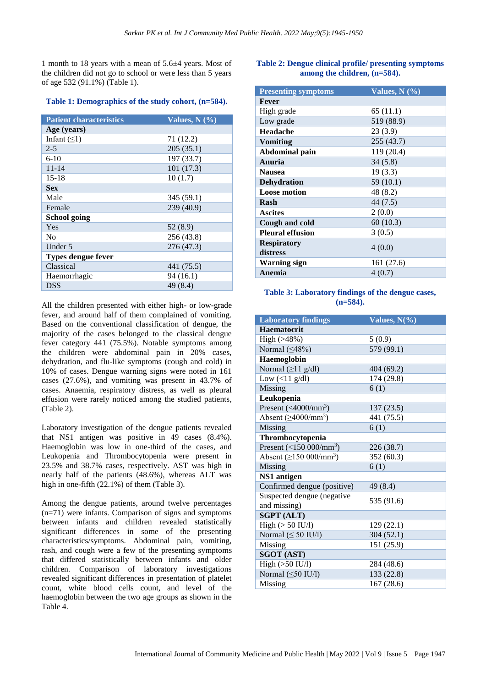1 month to 18 years with a mean of 5.6±4 years. Most of the children did not go to school or were less than 5 years of age 532 (91.1%) (Table 1).

## **Table 1: Demographics of the study cohort, (n=584).**

| <b>Patient characteristics</b> | Values, $N$ $(\%$ |  |  |
|--------------------------------|-------------------|--|--|
| Age (years)                    |                   |  |  |
| Infant $( \leq 1)$             | 71 (12.2)         |  |  |
| $2 - 5$                        | 205(35.1)         |  |  |
| $6-10$                         | 197 (33.7)        |  |  |
| $11 - 14$                      | 101(17.3)         |  |  |
| $15 - 18$                      | 10(1.7)           |  |  |
| <b>Sex</b>                     |                   |  |  |
| Male                           | 345 (59.1)        |  |  |
| Female                         | 239 (40.9)        |  |  |
| School going                   |                   |  |  |
| Yes                            | 52 (8.9)          |  |  |
| No                             | 256 (43.8)        |  |  |
| Under 5                        | 276 (47.3)        |  |  |
| Types dengue fever             |                   |  |  |
| Classical                      | 441 (75.5)        |  |  |
| Haemorrhagic                   | 94 (16.1)         |  |  |
| <b>DSS</b>                     | 49 (8.4)          |  |  |

All the children presented with either high- or low-grade fever, and around half of them complained of vomiting. Based on the conventional classification of dengue, the majority of the cases belonged to the classical dengue fever category 441 (75.5%). Notable symptoms among the children were abdominal pain in 20% cases, dehydration, and flu-like symptoms (cough and cold) in 10% of cases. Dengue warning signs were noted in 161 cases (27.6%), and vomiting was present in 43.7% of cases. Anaemia, respiratory distress, as well as pleural effusion were rarely noticed among the studied patients, (Table 2).

Laboratory investigation of the dengue patients revealed that NS1 antigen was positive in 49 cases (8.4%). Haemoglobin was low in one-third of the cases, and Leukopenia and Thrombocytopenia were present in 23.5% and 38.7% cases, respectively. AST was high in nearly half of the patients (48.6%), whereas ALT was high in one-fifth (22.1%) of them (Table 3).

Among the dengue patients, around twelve percentages (n=71) were infants. Comparison of signs and symptoms between infants and children revealed statistically significant differences in some of the presenting characteristics/symptoms. Abdominal pain, vomiting, rash, and cough were a few of the presenting symptoms that differed statistically between infants and older children. Comparison of laboratory investigations revealed significant differences in presentation of platelet count, white blood cells count, and level of the haemoglobin between the two age groups as shown in the Table 4.

# **Table 2: Dengue clinical profile/ presenting symptoms among the children, (n=584).**

| <b>Presenting symptoms</b> | Values, $N(\sqrt[6]{6})$ |  |  |
|----------------------------|--------------------------|--|--|
| Fever                      |                          |  |  |
| High grade                 | 65 (11.1)                |  |  |
| Low grade                  | 519 (88.9)               |  |  |
| <b>Headache</b>            | 23(3.9)                  |  |  |
| <b>Vomiting</b>            | 255 (43.7)               |  |  |
| Abdominal pain             | 119 (20.4)               |  |  |
| Anuria                     | 34(5.8)                  |  |  |
| <b>Nausea</b>              | 19(3.3)                  |  |  |
| <b>Dehydration</b>         | 59 (10.1)                |  |  |
| <b>Loose motion</b>        | 48 (8.2)                 |  |  |
| Rash                       | 44(7.5)                  |  |  |
| <b>Ascites</b>             | 2(0.0)                   |  |  |
| Cough and cold             | 60(10.3)                 |  |  |
| <b>Pleural effusion</b>    | 3(0.5)                   |  |  |
| <b>Respiratory</b>         |                          |  |  |
| distress                   | 4(0.0)                   |  |  |
| Warning sign               | 161 (27.6)               |  |  |
| Anemia                     | 4(0.7)                   |  |  |

## **Table 3: Laboratory findings of the dengue cases, (n=584).**

| <b>Laboratory findings</b>                 | Values, $N(\%)$ |
|--------------------------------------------|-----------------|
| <b>Haematocrit</b>                         |                 |
| High (>48%)                                | 5(0.9)          |
| Normal $(≤48%)$                            | 579 (99.1)      |
| Haemoglobin                                |                 |
| Normal $(\geq 11$ g/dl)                    | 404 (69.2)      |
| Low $(\langle 11 \text{ g/dl})$            | 174 (29.8)      |
| Missing                                    | 6(1)            |
| Leukopenia                                 |                 |
| Present $(4000/nm^3)$                      | 137(23.5)       |
| Absent $(\geq 4000/\text{mm}^3)$           | 441 (75.5)      |
| Missing                                    | 6(1)            |
| Thrombocytopenia                           |                 |
| Present $(<150 000/mm^3)$                  | 226 (38.7)      |
| Absent $(≥150 000/mm^3)$                   | 352 (60.3)      |
| Missing                                    | 6(1)            |
| NS1 antigen                                |                 |
| Confirmed dengue (positive)                | 49 (8.4)        |
| Suspected dengue (negative<br>and missing) | 535 (91.6)      |
| <b>SGPT (ALT)</b>                          |                 |
| $High (> 50$ IU/l)                         | 129 (22.1)      |
| Normal $(\leq 50$ IU/l)                    | 304(52.1)       |
| Missing                                    | 151 (25.9)      |
| <b>SGOT (AST)</b>                          |                 |
| $High (>50$ $IU/l)$                        | 284 (48.6)      |
| Normal $(\leq 50$ IU/l)                    | 133 (22.8)      |
| Missing                                    | 167 (28.6)      |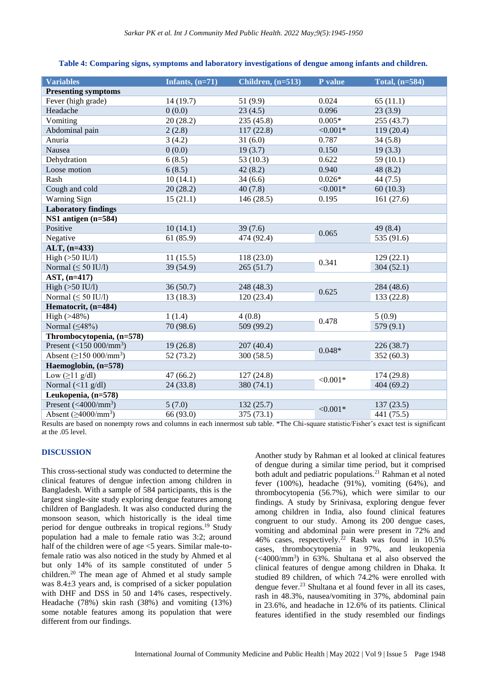| <b>Variables</b>                    | Infants, $(n=71)$ | Children, $(n=513)$ | P value     | Total, (n=584) |
|-------------------------------------|-------------------|---------------------|-------------|----------------|
| <b>Presenting symptoms</b>          |                   |                     |             |                |
| Fever (high grade)                  | 14(19.7)          | 51 (9.9)            | 0.024       | 65(11.1)       |
| Headache                            | 0(0.0)            | 23(4.5)             | 0.096       | 23(3.9)        |
| Vomiting                            | 20(28.2)          | 235 (45.8)          | $0.005*$    | 255 (43.7)     |
| Abdominal pain                      | 2(2.8)            | 117(22.8)           | $< 0.001*$  | 119(20.4)      |
| Anuria                              | 3(4.2)            | 31(6.0)             | 0.787       | 34(5.8)        |
| Nausea                              | 0(0.0)            | 19(3.7)             | 0.150       | 19(3.3)        |
| Dehydration                         | 6(8.5)            | 53 (10.3)           | 0.622       | 59(10.1)       |
| Loose motion                        | 6(8.5)            | 42(8.2)             | 0.940       | 48 (8.2)       |
| Rash                                | 10(14.1)          | 34(6.6)             | $0.026*$    | 44(7.5)        |
| Cough and cold                      | 20(28.2)          | 40(7.8)             | ${<}0.001*$ | 60(10.3)       |
| <b>Warning Sign</b>                 | 15(21.1)          | 146(28.5)           | 0.195       | 161(27.6)      |
| <b>Laboratory findings</b>          |                   |                     |             |                |
| NS1 antigen (n=584)                 |                   |                     |             |                |
| Positive                            | 10(14.1)          | 39(7.6)             | 0.065       | 49 (8.4)       |
| Negative                            | 61(85.9)          | 474 (92.4)          |             | 535 (91.6)     |
| ALT, (n=433)                        |                   |                     |             |                |
| High $(>50$ IU/l)                   | 11(15.5)          | 118 (23.0)          |             | 129(22.1)      |
| Normal $(\leq 50$ IU/l)             | 39 (54.9)         | 265(51.7)           | 0.341       | 304(52.1)      |
| AST, (n=417)                        |                   |                     |             |                |
| High $(>50$ IU/l)                   | 36(50.7)          | 248 (48.3)          | 0.625       | 284 (48.6)     |
| Normal $(\leq 50$ IU/l)             | 13(18.3)          | 120(23.4)           |             | 133 (22.8)     |
| Hematocrit, (n=484)                 |                   |                     |             |                |
| High $(>48%)$                       | 1(1.4)            | 4(0.8)              | 0.478       | 5(0.9)         |
| Normal $(≤48%)$                     | 70 (98.6)         | 509(99.2)           |             | 579 (9.1)      |
| Thrombocytopenia, (n=578)           |                   |                     |             |                |
| Present $(<150 000/nm3)$            | 19(26.8)          | 207 (40.4)          | $0.048*$    | 226 (38.7)     |
| Absent $(≥150 000/mm^3)$            | 52(73.2)          | 300(58.5)           |             | 352(60.3)      |
| Haemoglobin, (n=578)                |                   |                     |             |                |
| Low $(\geq 11 \text{ g/dl})$        | 47(66.2)          | 127(24.8)           | ${<}0.001*$ | 174 (29.8)     |
| Normal $(\langle 11 g/dl \rangle)$  | 24(33.8)          | 380 (74.1)          |             | 404 (69.2)     |
| Leukopenia, (n=578)                 |                   |                     |             |                |
| Present $(<$ 4000/mm <sup>3</sup> ) | 5(7.0)            | 132(25.7)           | ${<}0.001*$ | 137(23.5)      |
| Absent $(\geq 4000/\text{mm}^3)$    | 66 (93.0)         | 375 (73.1)          |             | 441 (75.5)     |

#### **Table 4: Comparing signs, symptoms and laboratory investigations of dengue among infants and children.**

Results are based on nonempty rows and columns in each innermost sub table. \*The Chi-square statistic/Fisher's exact test is significant at the .05 level.

# **DISCUSSION**

This cross-sectional study was conducted to determine the clinical features of dengue infection among children in Bangladesh. With a sample of 584 participants, this is the largest single-site study exploring dengue features among children of Bangladesh. It was also conducted during the monsoon season, which historically is the ideal time period for dengue outbreaks in tropical regions.<sup>19</sup> Study population had a male to female ratio was 3:2; around half of the children were of age  $\leq$  years. Similar male-tofemale ratio was also noticed in the study by Ahmed et al but only 14% of its sample constituted of under 5 children.<sup>20</sup> The mean age of Ahmed et al study sample was 8.4±3 years and, is comprised of a sicker population with DHF and DSS in 50 and 14% cases, respectively. Headache (78%) skin rash (38%) and vomiting (13%) some notable features among its population that were different from our findings.

Another study by Rahman et al looked at clinical features of dengue during a similar time period, but it comprised both adult and pediatric populations.<sup>21</sup> Rahman et al noted fever (100%), headache (91%), vomiting (64%), and thrombocytopenia (56.7%), which were similar to our findings. A study by Srinivasa, exploring dengue fever among children in India, also found clinical features congruent to our study. Among its 200 dengue cases, vomiting and abdominal pain were present in 72% and 46% cases, respectively.<sup>22</sup> Rash was found in  $10.5\%$ cases, thrombocytopenia in 97%, and leukopenia (<4000/mm<sup>3</sup> ) in 63%. Shultana et al also observed the clinical features of dengue among children in Dhaka. It studied 89 children, of which 74.2% were enrolled with dengue fever.<sup>23</sup> Shultana et al found fever in all its cases, rash in 48.3%, nausea/vomiting in 37%, abdominal pain in 23.6%, and headache in 12.6% of its patients. Clinical features identified in the study resembled our findings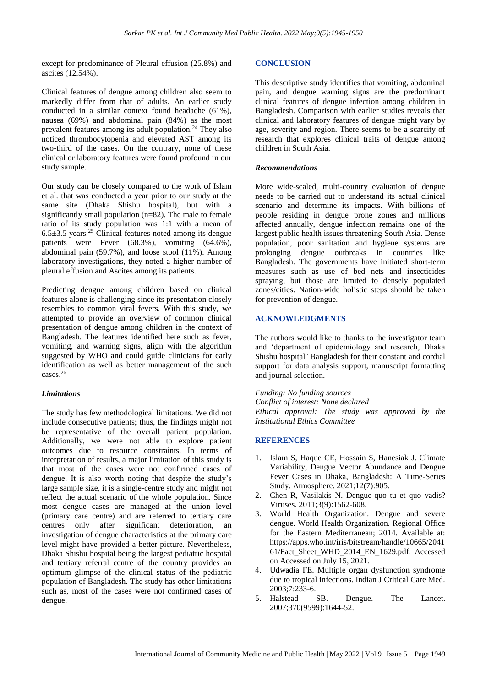except for predominance of Pleural effusion (25.8%) and ascites (12.54%).

Clinical features of dengue among children also seem to markedly differ from that of adults. An earlier study conducted in a similar context found headache (61%), nausea (69%) and abdominal pain (84%) as the most prevalent features among its adult population.<sup>24</sup> They also noticed thrombocytopenia and elevated AST among its two-third of the cases. On the contrary, none of these clinical or laboratory features were found profound in our study sample.

Our study can be closely compared to the work of Islam et al. that was conducted a year prior to our study at the same site (Dhaka Shishu hospital), but with a significantly small population (n=82). The male to female ratio of its study population was 1:1 with a mean of  $6.5\pm3.5$  years.<sup>25</sup> Clinical features noted among its dengue patients were Fever (68.3%), vomiting (64.6%), abdominal pain (59.7%), and loose stool (11%). Among laboratory investigations, they noted a higher number of pleural effusion and Ascites among its patients.

Predicting dengue among children based on clinical features alone is challenging since its presentation closely resembles to common viral fevers. With this study, we attempted to provide an overview of common clinical presentation of dengue among children in the context of Bangladesh. The features identified here such as fever, vomiting, and warning signs, align with the algorithm suggested by WHO and could guide clinicians for early identification as well as better management of the such  $c$ ases.<sup>26</sup>

#### *Limitations*

The study has few methodological limitations. We did not include consecutive patients; thus, the findings might not be representative of the overall patient population. Additionally, we were not able to explore patient outcomes due to resource constraints. In terms of interpretation of results, a major limitation of this study is that most of the cases were not confirmed cases of dengue. It is also worth noting that despite the study's large sample size, it is a single-centre study and might not reflect the actual scenario of the whole population. Since most dengue cases are managed at the union level (primary care centre) and are referred to tertiary care centres only after significant deterioration, an investigation of dengue characteristics at the primary care level might have provided a better picture. Nevertheless, Dhaka Shishu hospital being the largest pediatric hospital and tertiary referral centre of the country provides an optimum glimpse of the clinical status of the pediatric population of Bangladesh. The study has other limitations such as, most of the cases were not confirmed cases of dengue.

#### **CONCLUSION**

This descriptive study identifies that vomiting, abdominal pain, and dengue warning signs are the predominant clinical features of dengue infection among children in Bangladesh. Comparison with earlier studies reveals that clinical and laboratory features of dengue might vary by age, severity and region. There seems to be a scarcity of research that explores clinical traits of dengue among children in South Asia.

#### *Recommendations*

More wide-scaled, multi-country evaluation of dengue needs to be carried out to understand its actual clinical scenario and determine its impacts. With billions of people residing in dengue prone zones and millions affected annually, dengue infection remains one of the largest public health issues threatening South Asia. Dense population, poor sanitation and hygiene systems are prolonging dengue outbreaks in countries like Bangladesh. The governments have initiated short-term measures such as use of bed nets and insecticides spraying, but those are limited to densely populated zones/cities. Nation-wide holistic steps should be taken for prevention of dengue.

# **ACKNOWLEDGMENTS**

The authors would like to thanks to the investigator team and 'department of epidemiology and research, Dhaka Shishu hospital*'* Bangladesh for their constant and cordial support for data analysis support, manuscript formatting and journal selection.

*Funding: No funding sources Conflict of interest: None declared Ethical approval: The study was approved by the Institutional Ethics Committee*

#### **REFERENCES**

- 1. Islam S, Haque CE, Hossain S, Hanesiak J. Climate Variability, Dengue Vector Abundance and Dengue Fever Cases in Dhaka, Bangladesh: A Time-Series Study. Atmosphere. 2021;12(7):905.
- 2. Chen R, Vasilakis N. Dengue-quo tu et quo vadis? Viruses. 2011;3(9):1562-608.
- 3. World Health Organization. Dengue and severe dengue. World Health Organization. Regional Office for the Eastern Mediterranean; 2014. Available at: https://apps.who.int/iris/bitstream/handle/10665/2041 61/Fact\_Sheet\_WHD\_2014\_EN\_1629.pdf. Accessed on Accessed on July 15, 2021.
- 4. Udwadia FE. Multiple organ dysfunction syndrome due to tropical infections. Indian J Critical Care Med. 2003;7:233-6.
- 5. Halstead SB. Dengue. The Lancet. 2007;370(9599):1644-52.